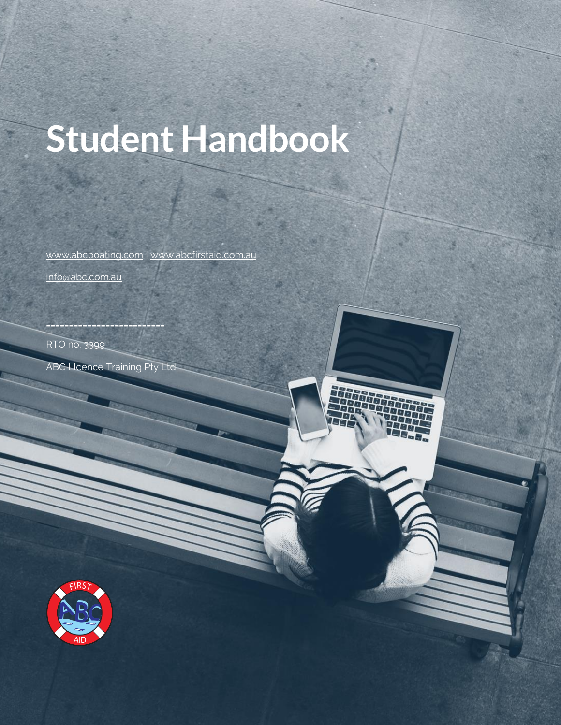# **Student Handbook**

[www.abcboating.com](http://www.abcboating.com/) | [www.abcfirstaid.com.au](http://www.abcfirstaid.com.au/) [info@abc.com.au](mailto:info@abc.com.au)

RTO no. 3399

Student Handbook

ABC LIcence Training Pty Ltd

**\_\_\_\_\_\_\_\_\_\_\_\_\_\_\_\_\_\_\_\_\_\_\_\_\_\_**



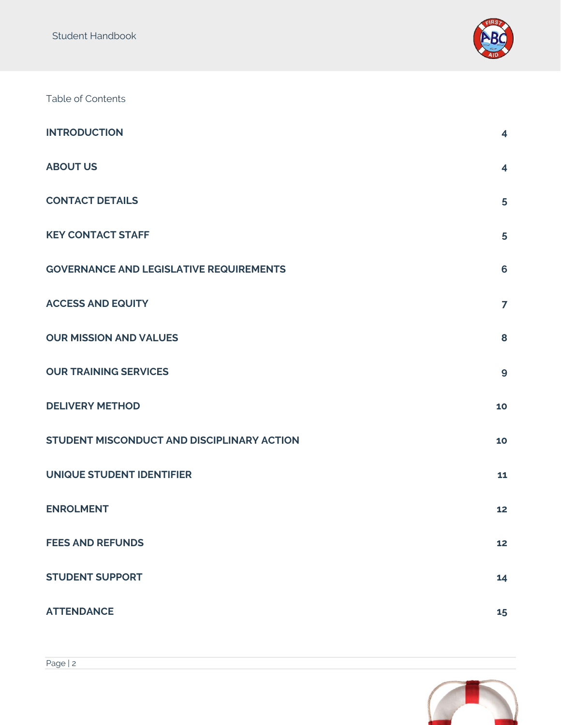

Table of Contents

| <b>INTRODUCTION</b>                            | 4                       |
|------------------------------------------------|-------------------------|
| <b>ABOUT US</b>                                | $\overline{\mathbf{4}}$ |
| <b>CONTACT DETAILS</b>                         | 5                       |
| <b>KEY CONTACT STAFF</b>                       | 5                       |
| <b>GOVERNANCE AND LEGISLATIVE REQUIREMENTS</b> | 6                       |
| <b>ACCESS AND EQUITY</b>                       | $\overline{ }$          |
| <b>OUR MISSION AND VALUES</b>                  | 8                       |
| <b>OUR TRAINING SERVICES</b>                   | $\boldsymbol{9}$        |
| <b>DELIVERY METHOD</b>                         | 10                      |
| STUDENT MISCONDUCT AND DISCIPLINARY ACTION     | 10                      |
| UNIQUE STUDENT IDENTIFIER                      | 11                      |
| <b>ENROLMENT</b>                               | 12                      |
| <b>FEES AND REFUNDS</b>                        | 12                      |
| <b>STUDENT SUPPORT</b>                         | 14                      |
| <b>ATTENDANCE</b>                              | 15                      |

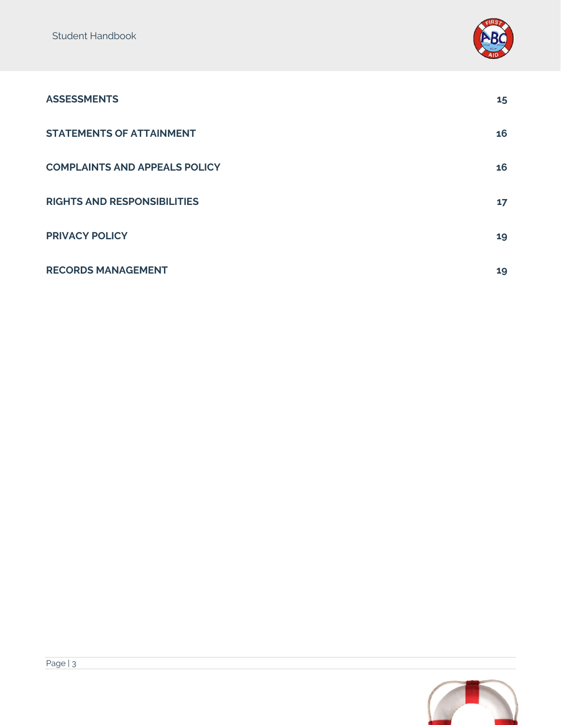

| <b>ASSESSMENTS</b>                   | 15 |
|--------------------------------------|----|
| <b>STATEMENTS OF ATTAINMENT</b>      | 16 |
| <b>COMPLAINTS AND APPEALS POLICY</b> | 16 |
| <b>RIGHTS AND RESPONSIBILITIES</b>   | 17 |
| <b>PRIVACY POLICY</b>                | 19 |
| <b>RECORDS MANAGEMENT</b>            | 19 |

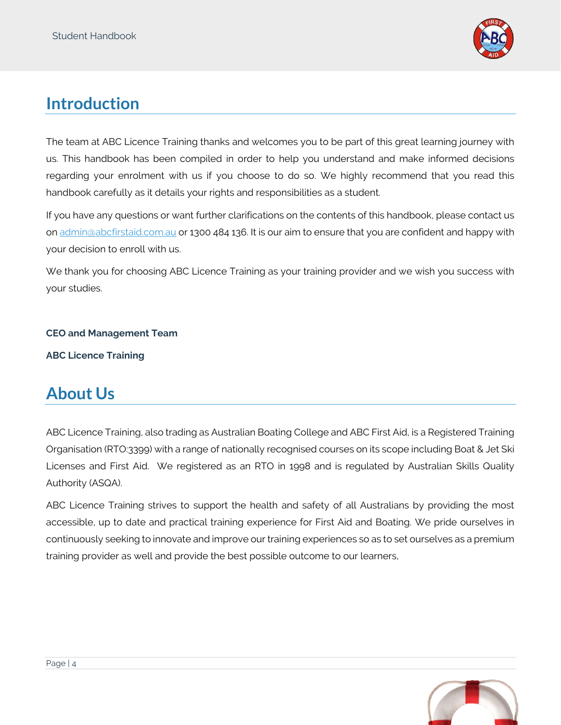

## <span id="page-3-0"></span>**Introduction**

The team at ABC Licence Training thanks and welcomes you to be part of this great learning journey with us. This handbook has been compiled in order to help you understand and make informed decisions regarding your enrolment with us if you choose to do so. We highly recommend that you read this handbook carefully as it details your rights and responsibilities as a student.

If you have any questions or want further clarifications on the contents of this handbook, please contact us on [admin@abcfirstaid.com.au](mailto:admin@abcfirstaid.com.au) or 1300 484 136. It is our aim to ensure that you are confident and happy with your decision to enroll with us.

We thank you for choosing ABC Licence Training as your training provider and we wish you success with your studies.

#### **CEO and Management Team**

**ABC Licence Training**

## <span id="page-3-1"></span>**About Us**

ABC Licence Training, also trading as Australian Boating College and ABC First Aid, is a Registered Training Organisation (RTO:3399) with a range of nationally recognised courses on its scope including Boat & Jet Ski Licenses and First Aid. We registered as an RTO in 1998 and is regulated by Australian Skills Quality Authority (ASQA).

ABC Licence Training strives to support the health and safety of all Australians by providing the most accessible, up to date and practical training experience for First Aid and Boating. We pride ourselves in continuously seeking to innovate and improve our training experiences so as to set ourselves as a premium training provider as well and provide the best possible outcome to our learners,

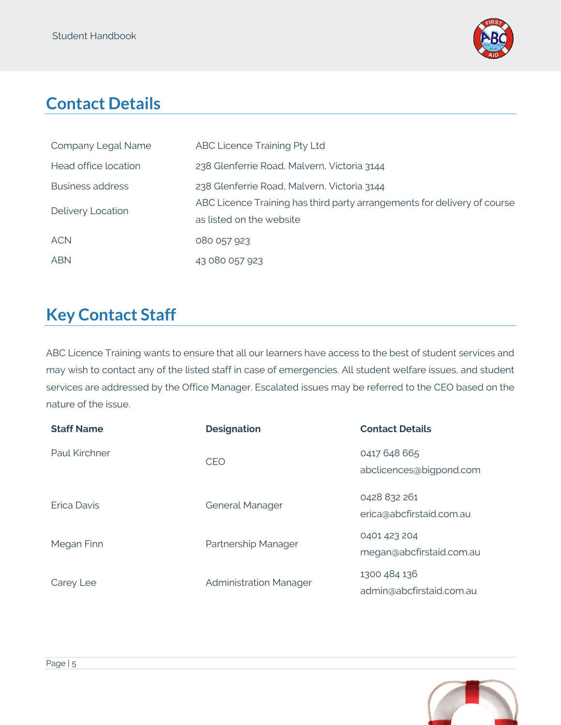

# <span id="page-4-0"></span>**Contact Details**

| Company Legal Name      | ABC Licence Training Pty Ltd                                             |
|-------------------------|--------------------------------------------------------------------------|
| Head office location    | 238 Glenferrie Road, Malvern, Victoria 3144                              |
| <b>Business address</b> | 238 Glenferrie Road, Malvern, Victoria 3144                              |
| Delivery Location       | ABC Licence Training has third party arrangements for delivery of course |
|                         | as listed on the website                                                 |
| <b>ACN</b>              | 080 057 923                                                              |
| <b>ABN</b>              | 43 080 057 923                                                           |

# <span id="page-4-1"></span>**Key Contact Staff**

ABC Licence Training wants to ensure that all our learners have access to the best of student services and may wish to contact any of the listed staff in case of emergencies. All student welfare issues, and student services are addressed by the Office Manager. Escalated issues may be referred to the CEO based on the nature of the issue.

| <b>Staff Name</b> | <b>Designation</b>            | <b>Contact Details</b>                   |
|-------------------|-------------------------------|------------------------------------------|
| Paul Kirchner     | <b>CEO</b>                    | 0417 648 665<br>abclicences@bigpond.com  |
| Frica Davis       | <b>General Manager</b>        | 0428 832 261<br>erica@abcfirstaid.com.au |
| Megan Finn        | Partnership Manager           | 0401 423 204<br>megan@abcfirstaid.com.au |
| Carey Lee         | <b>Administration Manager</b> | 1300 484 136<br>admin@abcfirstaid.com.au |

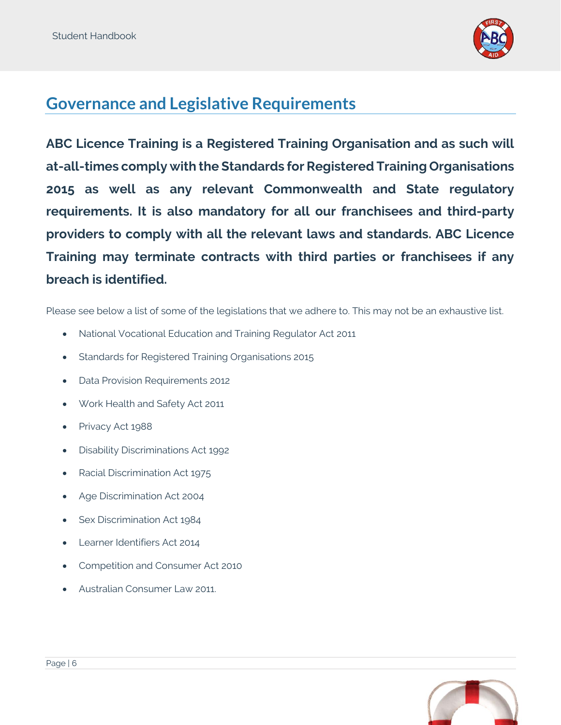

#### <span id="page-5-0"></span>**Governance and Legislative Requirements**

**ABC Licence Training is a Registered Training Organisation and as such will at-all-times comply with the Standards for Registered Training Organisations 2015 as well as any relevant Commonwealth and State regulatory requirements. It is also mandatory for all our franchisees and third-party providers to comply with all the relevant laws and standards. ABC Licence Training may terminate contracts with third parties or franchisees if any breach is identified.**

Please see below a list of some of the legislations that we adhere to. This may not be an exhaustive list.

- National Vocational Education and Training Regulator Act 2011
- Standards for Registered Training Organisations 2015
- Data Provision Requirements 2012
- Work Health and Safety Act 2011
- Privacy Act 1988
- Disability Discriminations Act 1992
- Racial Discrimination Act 1975
- Age Discrimination Act 2004
- Sex Discrimination Act 1984
- Learner Identifiers Act 2014
- Competition and Consumer Act 2010
- Australian Consumer Law 2011.

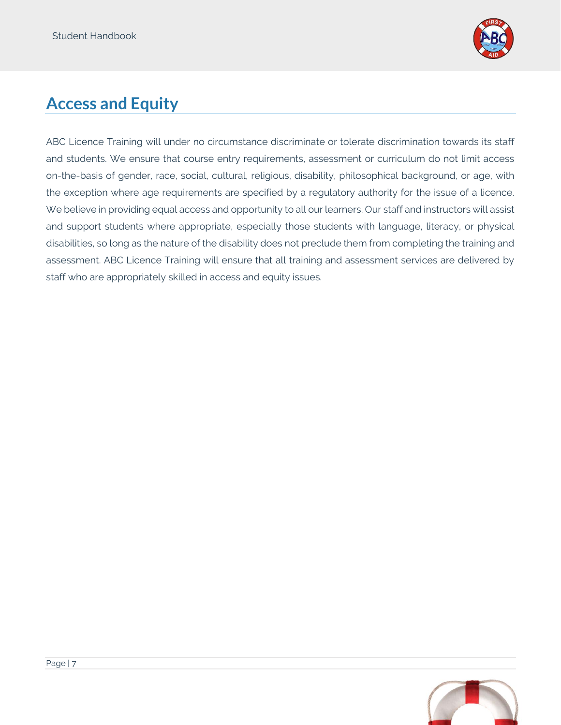

# <span id="page-6-0"></span>**Access and Equity**

ABC Licence Training will under no circumstance discriminate or tolerate discrimination towards its staff and students. We ensure that course entry requirements, assessment or curriculum do not limit access on-the-basis of gender, race, social, cultural, religious, disability, philosophical background, or age, with the exception where age requirements are specified by a regulatory authority for the issue of a licence. We believe in providing equal access and opportunity to all our learners. Our staff and instructors will assist and support students where appropriate, especially those students with language, literacy, or physical disabilities, so long as the nature of the disability does not preclude them from completing the training and assessment. ABC Licence Training will ensure that all training and assessment services are delivered by staff who are appropriately skilled in access and equity issues.

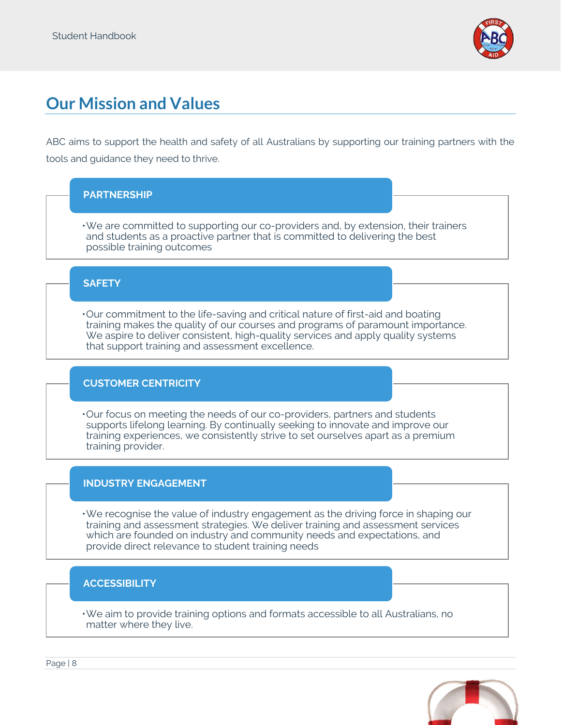

# <span id="page-7-0"></span>**Our Mission and Values**

ABC aims to support the health and safety of all Australians by supporting our training partners with the tools and guidance they need to thrive.

#### **PARTNERSHIP**

•We are committed to supporting our co-providers and, by extension, their trainers and students as a proactive partner that is committed to delivering the best possible training outcomes

#### **SAFETY**

•Our commitment to the life-saving and critical nature of first-aid and boating training makes the quality of our courses and programs of paramount importance. We aspire to deliver consistent, high-quality services and apply quality systems that support training and assessment excellence.

#### **CUSTOMER CENTRICITY**

•Our focus on meeting the needs of our co-providers, partners and students supports lifelong learning. By continually seeking to innovate and improve our training experiences, we consistently strive to set ourselves apart as a premium training provider.

#### **INDUSTRY ENGAGEMENT**

•We recognise the value of industry engagement as the driving force in shaping our training and assessment strategies. We deliver training and assessment services which are founded on industry and community needs and expectations, and provide direct relevance to student training needs

#### **ACCESSIBILITY**

•We aim to provide training options and formats accessible to all Australians, no matter where they live.

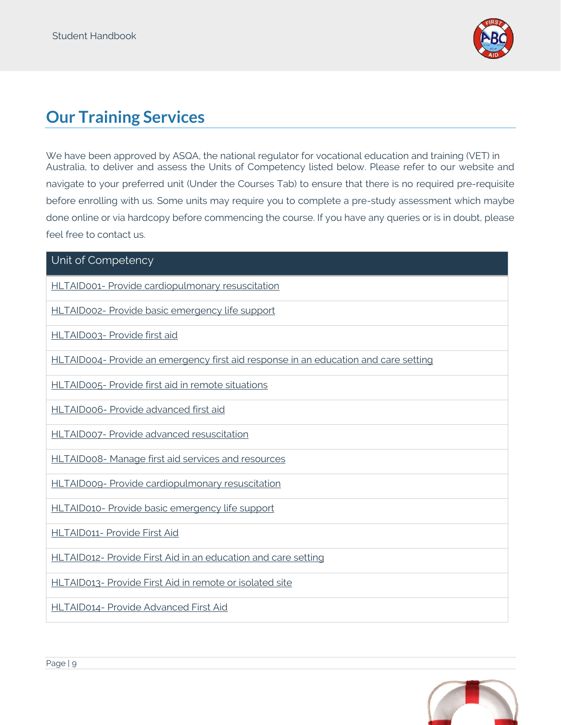

# <span id="page-8-0"></span>**Our Training Services**

We have been approved by ASQA, the national regulator for vocational education and training (VET) in Australia, to deliver and assess the Units of Competency listed below. Please refer to our website and navigate to your preferred unit (Under the Courses Tab) to ensure that there is no required pre-requisite before enrolling with us. Some units may require you to complete a pre-study assessment which maybe done online or via hardcopy before commencing the course. If you have any queries or is in doubt, please feel free to contact us.

#### Unit of Competency

HLTAID001- [Provide cardiopulmonary resuscitation](https://training.gov.au/Training/Details/HLTAID001)

HLTAID002- [Provide basic emergency life support](https://training.gov.au/Training/Details/HLTAID002)

HLTAID003- [Provide first aid](https://training.gov.au/Training/Details/HLTAID003)

HLTAID004- [Provide an emergency first aid response in an education and care setting](https://training.gov.au/Training/Details/HLTAID004)

HLTAID005- [Provide first aid in remote situations](https://training.gov.au/Training/Details/HLTAID005)

HLTAID006- [Provide advanced first aid](https://training.gov.au/Training/Details/HLTAID006)

HLTAID007- [Provide advanced resuscitation](https://training.gov.au/Training/Details/HLTAID007)

HLTAID008- [Manage first aid services and resources](https://training.gov.au/Training/Details/HLTAID008)

HLTAID009- [Provide cardiopulmonary resuscitation](https://training.gov.au/Training/Details/HLTAID009)

HLTAID010- [Provide basic emergency life support](https://training.gov.au/Training/Details/HLTAID010)

HLTAID011- [Provide First Aid](https://training.gov.au/Training/Details/HLTAID011)

HLTAID012- [Provide First Aid in an education and care setting](https://training.gov.au/Training/Details/HLTAID012)

HLTAID013- [Provide First Aid in remote or isolated site](https://training.gov.au/Training/Details/HLTAID013)

HLTAID014- [Provide Advanced First Aid](https://training.gov.au/Training/Details/HLTAID014)

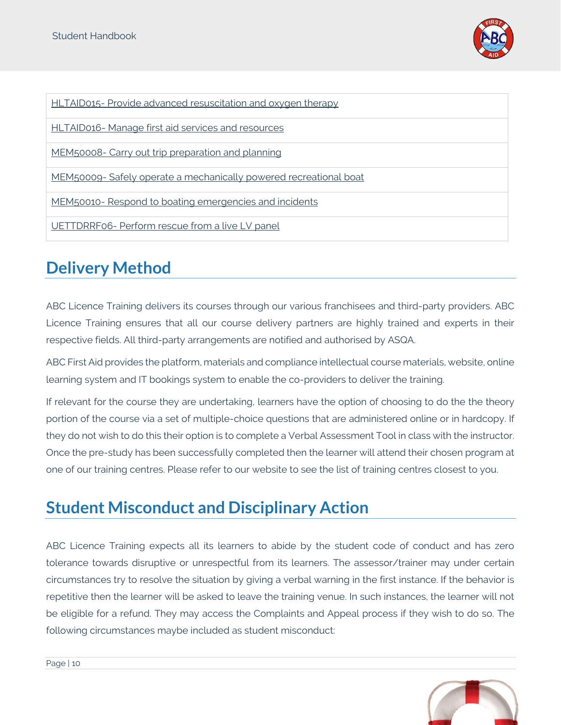

HLTAID015- [Provide advanced resuscitation and oxygen therapy](https://training.gov.au/Training/Details/HLTAID015)

HLTAID016- [Manage first aid services and resources](https://training.gov.au/Training/Details/HLTAID016)

MEM50008- [Carry out trip preparation and planning](https://training.gov.au/Training/Details/MEM50008)

MEM50009- [Safely operate a mechanically powered recreational boat](https://training.gov.au/Training/Details/MEM50009)

MEM50010- [Respond to boating emergencies and incidents](https://training.gov.au/Training/Details/MEM50010)

UETTDRRF06- [Perform rescue from a live LV panel](https://training.gov.au/Training/Details/UETTDRRF06)

# <span id="page-9-0"></span>**Delivery Method**

ABC Licence Training delivers its courses through our various franchisees and third-party providers. ABC Licence Training ensures that all our course delivery partners are highly trained and experts in their respective fields. All third-party arrangements are notified and authorised by ASQA.

ABC First Aid provides the platform, materials and compliance intellectual course materials, website, online learning system and IT bookings system to enable the co-providers to deliver the training.

If relevant for the course they are undertaking, learners have the option of choosing to do the the theory portion of the course via a set of multiple-choice questions that are administered online or in hardcopy. If they do not wish to do this their option is to complete a Verbal Assessment Tool in class with the instructor. Once the pre-study has been successfully completed then the learner will attend their chosen program at one of our training centres. Please refer to our website to see the list of training centres closest to you.

## <span id="page-9-1"></span>**Student Misconduct and Disciplinary Action**

ABC Licence Training expects all its learners to abide by the student code of conduct and has zero tolerance towards disruptive or unrespectful from its learners. The assessor/trainer may under certain circumstances try to resolve the situation by giving a verbal warning in the first instance. If the behavior is repetitive then the learner will be asked to leave the training venue. In such instances, the learner will not be eligible for a refund. They may access the Complaints and Appeal process if they wish to do so. The following circumstances maybe included as student misconduct:

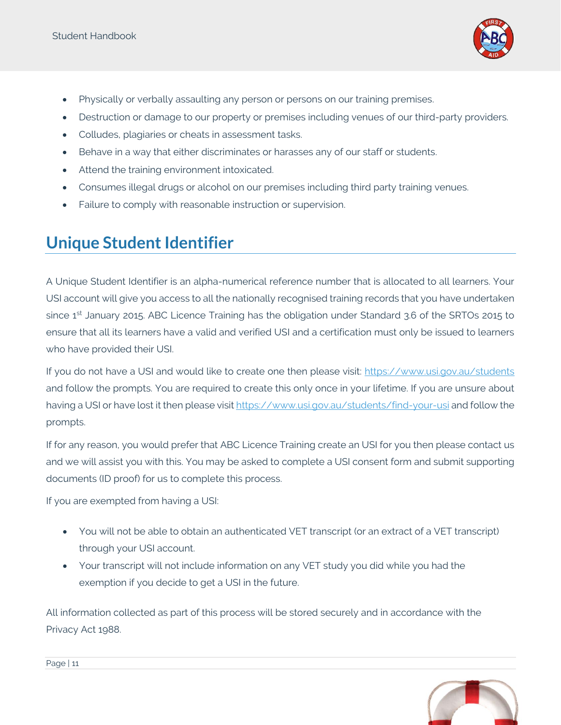

- Physically or verbally assaulting any person or persons on our training premises.
- Destruction or damage to our property or premises including venues of our third-party providers.
- Colludes, plagiaries or cheats in assessment tasks.
- Behave in a way that either discriminates or harasses any of our staff or students.
- Attend the training environment intoxicated.
- Consumes illegal drugs or alcohol on our premises including third party training venues.
- Failure to comply with reasonable instruction or supervision.

## <span id="page-10-0"></span>**Unique Student Identifier**

A Unique Student Identifier is an alpha-numerical reference number that is allocated to all learners. Your USI account will give you access to all the nationally recognised training records that you have undertaken since 1<sup>st</sup> January 2015. ABC Licence Training has the obligation under Standard 3.6 of the SRTOs 2015 to ensure that all its learners have a valid and verified USI and a certification must only be issued to learners who have provided their USI.

If you do not have a USI and would like to create one then please visit:<https://www.usi.gov.au/students> and follow the prompts. You are required to create this only once in your lifetime. If you are unsure about having a USI or have lost it then please visit<https://www.usi.gov.au/students/find-your-usi> and follow the prompts.

If for any reason, you would prefer that ABC Licence Training create an USI for you then please contact us and we will assist you with this. You may be asked to complete a USI consent form and submit supporting documents (ID proof) for us to complete this process.

If you are exempted from having a USI:

- You will not be able to obtain an authenticated VET transcript (or an extract of a VET transcript) through your USI account.
- Your transcript will not include information on any VET study you did while you had the exemption if you decide to get a USI in the future.

All information collected as part of this process will be stored securely and in accordance with the Privacy Act 1988.

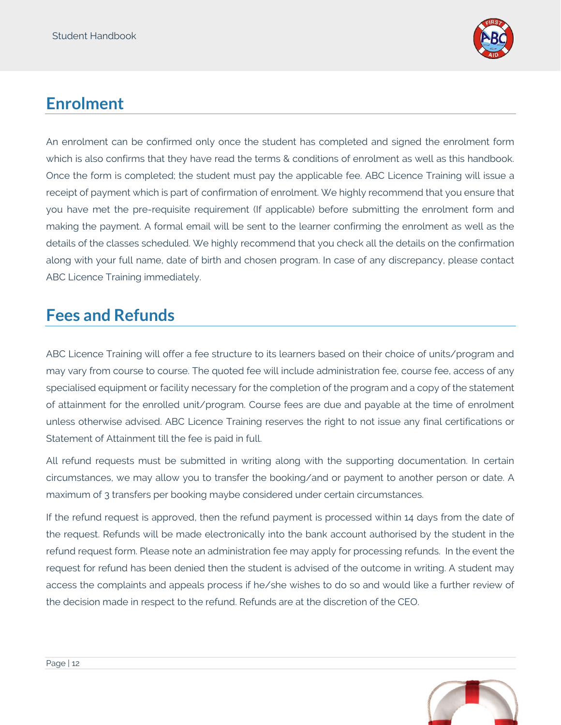

# <span id="page-11-0"></span>**Enrolment**

An enrolment can be confirmed only once the student has completed and signed the enrolment form which is also confirms that they have read the terms & conditions of enrolment as well as this handbook. Once the form is completed; the student must pay the applicable fee. ABC Licence Training will issue a receipt of payment which is part of confirmation of enrolment. We highly recommend that you ensure that you have met the pre-requisite requirement (If applicable) before submitting the enrolment form and making the payment. A formal email will be sent to the learner confirming the enrolment as well as the details of the classes scheduled. We highly recommend that you check all the details on the confirmation along with your full name, date of birth and chosen program. In case of any discrepancy, please contact ABC Licence Training immediately.

## <span id="page-11-1"></span>**Fees and Refunds**

ABC Licence Training will offer a fee structure to its learners based on their choice of units/program and may vary from course to course. The quoted fee will include administration fee, course fee, access of any specialised equipment or facility necessary for the completion of the program and a copy of the statement of attainment for the enrolled unit/program. Course fees are due and payable at the time of enrolment unless otherwise advised. ABC Licence Training reserves the right to not issue any final certifications or Statement of Attainment till the fee is paid in full.

All refund requests must be submitted in writing along with the supporting documentation. In certain circumstances, we may allow you to transfer the booking/and or payment to another person or date. A maximum of 3 transfers per booking maybe considered under certain circumstances.

If the refund request is approved, then the refund payment is processed within 14 days from the date of the request. Refunds will be made electronically into the bank account authorised by the student in the refund request form. Please note an administration fee may apply for processing refunds. In the event the request for refund has been denied then the student is advised of the outcome in writing. A student may access the complaints and appeals process if he/she wishes to do so and would like a further review of the decision made in respect to the refund. Refunds are at the discretion of the CEO.

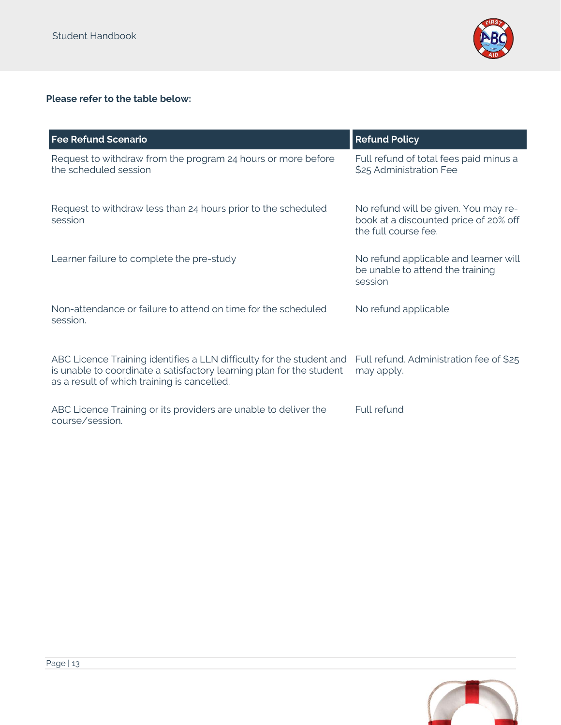

#### **Please refer to the table below:**

| <b>Fee Refund Scenario</b>                                                                                                                                                                  | <b>Refund Policy</b>                                                                                  |
|---------------------------------------------------------------------------------------------------------------------------------------------------------------------------------------------|-------------------------------------------------------------------------------------------------------|
| Request to withdraw from the program 24 hours or more before<br>the scheduled session                                                                                                       | Full refund of total fees paid minus a<br>\$25 Administration Fee                                     |
| Request to withdraw less than 24 hours prior to the scheduled<br>session                                                                                                                    | No refund will be given. You may re-<br>book at a discounted price of 20% off<br>the full course fee. |
| Learner failure to complete the pre-study                                                                                                                                                   | No refund applicable and learner will<br>be unable to attend the training<br>session                  |
| Non-attendance or failure to attend on time for the scheduled<br>session.                                                                                                                   | No refund applicable                                                                                  |
| ABC Licence Training identifies a LLN difficulty for the student and<br>is unable to coordinate a satisfactory learning plan for the student<br>as a result of which training is cancelled. | Full refund. Administration fee of \$25<br>may apply.                                                 |
| ABC Licence Training or its providers are unable to deliver the<br>course/session.                                                                                                          | Full refund                                                                                           |

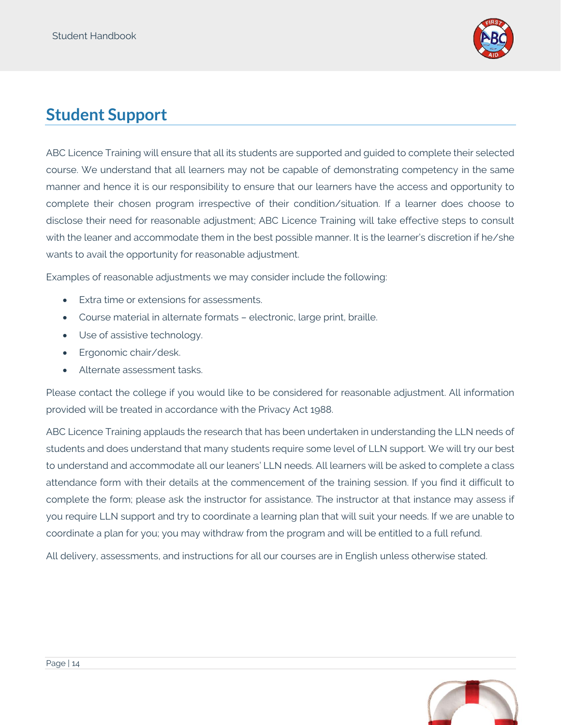

## <span id="page-13-0"></span>**Student Support**

ABC Licence Training will ensure that all its students are supported and guided to complete their selected course. We understand that all learners may not be capable of demonstrating competency in the same manner and hence it is our responsibility to ensure that our learners have the access and opportunity to complete their chosen program irrespective of their condition/situation. If a learner does choose to disclose their need for reasonable adjustment; ABC Licence Training will take effective steps to consult with the leaner and accommodate them in the best possible manner. It is the learner's discretion if he/she wants to avail the opportunity for reasonable adjustment.

Examples of reasonable adjustments we may consider include the following:

- Extra time or extensions for assessments.
- Course material in alternate formats electronic, large print, braille.
- Use of assistive technology.
- Ergonomic chair/desk.
- Alternate assessment tasks.

Please contact the college if you would like to be considered for reasonable adjustment. All information provided will be treated in accordance with the Privacy Act 1988.

ABC Licence Training applauds the research that has been undertaken in understanding the LLN needs of students and does understand that many students require some level of LLN support. We will try our best to understand and accommodate all our leaners' LLN needs. All learners will be asked to complete a class attendance form with their details at the commencement of the training session. If you find it difficult to complete the form; please ask the instructor for assistance. The instructor at that instance may assess if you require LLN support and try to coordinate a learning plan that will suit your needs. If we are unable to coordinate a plan for you; you may withdraw from the program and will be entitled to a full refund.

All delivery, assessments, and instructions for all our courses are in English unless otherwise stated.

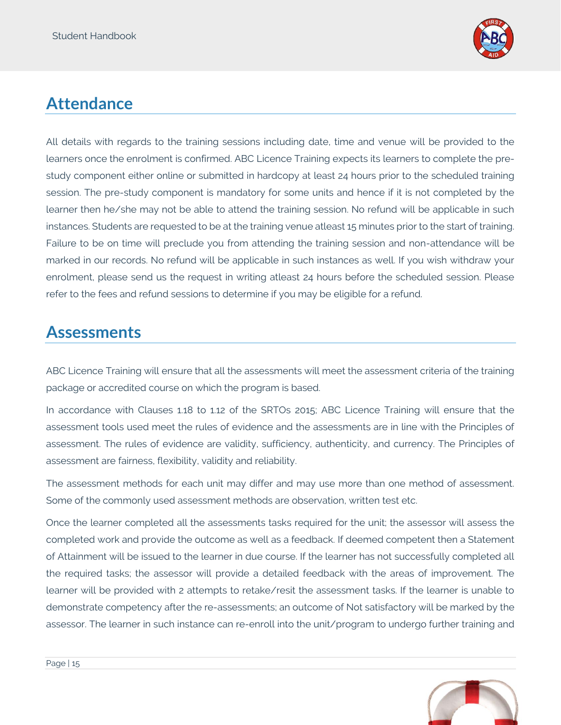

# <span id="page-14-0"></span>**Attendance**

All details with regards to the training sessions including date, time and venue will be provided to the learners once the enrolment is confirmed. ABC Licence Training expects its learners to complete the prestudy component either online or submitted in hardcopy at least 24 hours prior to the scheduled training session. The pre-study component is mandatory for some units and hence if it is not completed by the learner then he/she may not be able to attend the training session. No refund will be applicable in such instances. Students are requested to be at the training venue atleast 15 minutes prior to the start of training. Failure to be on time will preclude you from attending the training session and non-attendance will be marked in our records. No refund will be applicable in such instances as well. If you wish withdraw your enrolment, please send us the request in writing atleast 24 hours before the scheduled session. Please refer to the fees and refund sessions to determine if you may be eligible for a refund.

## <span id="page-14-1"></span>**Assessments**

ABC Licence Training will ensure that all the assessments will meet the assessment criteria of the training package or accredited course on which the program is based.

In accordance with Clauses 1.18 to 1.12 of the SRTOs 2015; ABC Licence Training will ensure that the assessment tools used meet the rules of evidence and the assessments are in line with the Principles of assessment. The rules of evidence are validity, sufficiency, authenticity, and currency. The Principles of assessment are fairness, flexibility, validity and reliability.

The assessment methods for each unit may differ and may use more than one method of assessment. Some of the commonly used assessment methods are observation, written test etc.

Once the learner completed all the assessments tasks required for the unit; the assessor will assess the completed work and provide the outcome as well as a feedback. If deemed competent then a Statement of Attainment will be issued to the learner in due course. If the learner has not successfully completed all the required tasks; the assessor will provide a detailed feedback with the areas of improvement. The learner will be provided with 2 attempts to retake/resit the assessment tasks. If the learner is unable to demonstrate competency after the re-assessments; an outcome of Not satisfactory will be marked by the assessor. The learner in such instance can re-enroll into the unit/program to undergo further training and

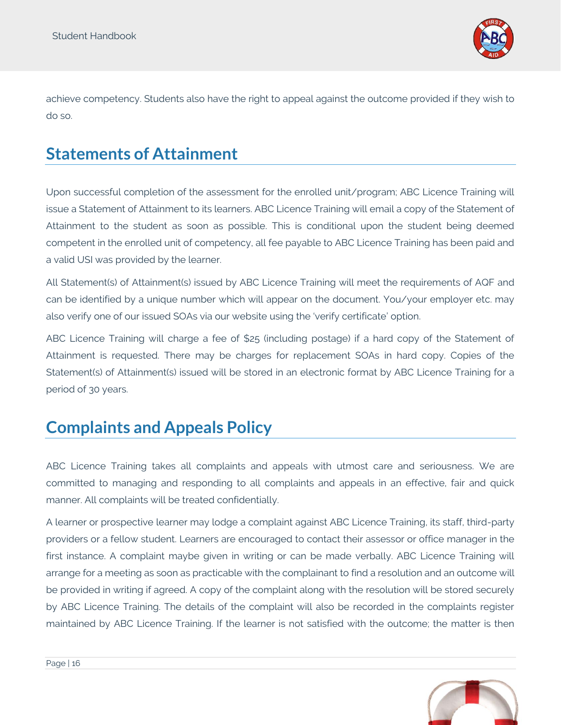

achieve competency. Students also have the right to appeal against the outcome provided if they wish to do so.

## <span id="page-15-0"></span>**Statements of Attainment**

Upon successful completion of the assessment for the enrolled unit/program; ABC Licence Training will issue a Statement of Attainment to its learners. ABC Licence Training will email a copy of the Statement of Attainment to the student as soon as possible. This is conditional upon the student being deemed competent in the enrolled unit of competency, all fee payable to ABC Licence Training has been paid and a valid USI was provided by the learner.

All Statement(s) of Attainment(s) issued by ABC Licence Training will meet the requirements of AQF and can be identified by a unique number which will appear on the document. You/your employer etc. may also verify one of our issued SOAs via our website using the 'verify certificate' option.

ABC Licence Training will charge a fee of \$25 (including postage) if a hard copy of the Statement of Attainment is requested. There may be charges for replacement SOAs in hard copy. Copies of the Statement(s) of Attainment(s) issued will be stored in an electronic format by ABC Licence Training for a period of 30 years.

## <span id="page-15-1"></span>**Complaints and Appeals Policy**

ABC Licence Training takes all complaints and appeals with utmost care and seriousness. We are committed to managing and responding to all complaints and appeals in an effective, fair and quick manner. All complaints will be treated confidentially.

A learner or prospective learner may lodge a complaint against ABC Licence Training, its staff, third-party providers or a fellow student. Learners are encouraged to contact their assessor or office manager in the first instance. A complaint maybe given in writing or can be made verbally. ABC Licence Training will arrange for a meeting as soon as practicable with the complainant to find a resolution and an outcome will be provided in writing if agreed. A copy of the complaint along with the resolution will be stored securely by ABC Licence Training. The details of the complaint will also be recorded in the complaints register maintained by ABC Licence Training. If the learner is not satisfied with the outcome; the matter is then

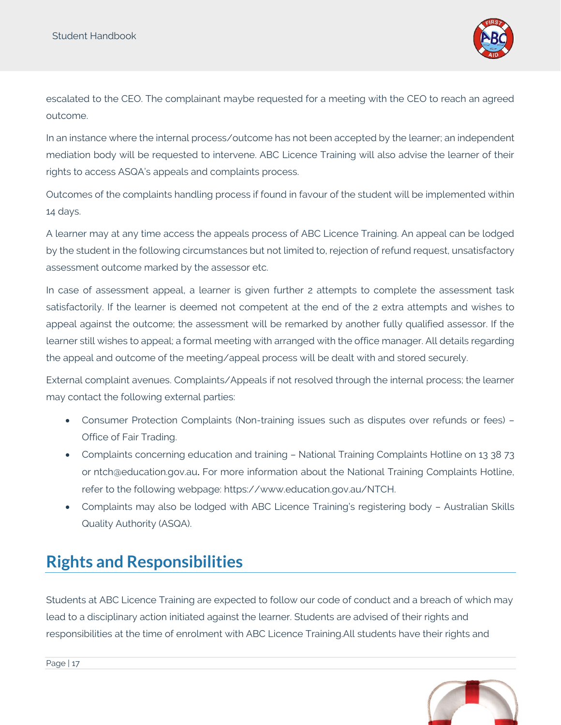Student Handbook



escalated to the CEO. The complainant maybe requested for a meeting with the CEO to reach an agreed outcome.

In an instance where the internal process/outcome has not been accepted by the learner; an independent mediation body will be requested to intervene. ABC Licence Training will also advise the learner of their rights to access ASQA's appeals and complaints process.

Outcomes of the complaints handling process if found in favour of the student will be implemented within 14 days.

A learner may at any time access the appeals process of ABC Licence Training. An appeal can be lodged by the student in the following circumstances but not limited to, rejection of refund request, unsatisfactory assessment outcome marked by the assessor etc.

In case of assessment appeal, a learner is given further 2 attempts to complete the assessment task satisfactorily. If the learner is deemed not competent at the end of the 2 extra attempts and wishes to appeal against the outcome; the assessment will be remarked by another fully qualified assessor. If the learner still wishes to appeal; a formal meeting with arranged with the office manager. All details regarding the appeal and outcome of the meeting/appeal process will be dealt with and stored securely.

External complaint avenues. Complaints/Appeals if not resolved through the internal process; the learner may contact the following external parties:

- Consumer Protection Complaints (Non-training issues such as disputes over refunds or fees) Office of Fair Trading.
- Complaints concerning education and training National Training Complaints Hotline on 13 38 73 or [ntch@education.gov.au](mailto:ntch@education.gov.au). For more information about the National Training Complaints Hotline, refer to the following webpage: [https://www.education.gov.au/NTCH.](https://www.education.gov.au/NTCH)
- Complaints may also be lodged with ABC Licence Training's registering body Australian Skills Quality Authority (ASQA).

## <span id="page-16-0"></span>**Rights and Responsibilities**

Students at ABC Licence Training are expected to follow our code of conduct and a breach of which may lead to a disciplinary action initiated against the learner. Students are advised of their rights and responsibilities at the time of enrolment with ABC Licence Training.All students have their rights and

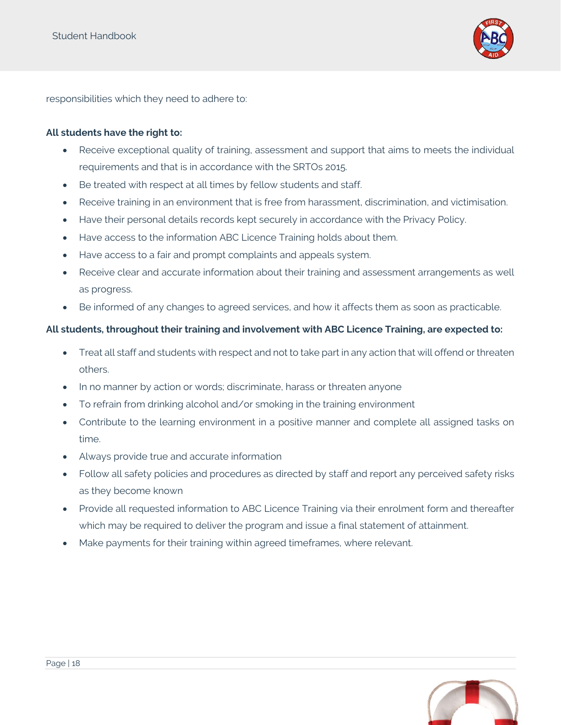

responsibilities which they need to adhere to:

#### **All students have the right to:**

- Receive exceptional quality of training, assessment and support that aims to meets the individual requirements and that is in accordance with the SRTOs 2015.
- Be treated with respect at all times by fellow students and staff.
- Receive training in an environment that is free from harassment, discrimination, and victimisation.
- Have their personal details records kept securely in accordance with the Privacy Policy.
- Have access to the information ABC Licence Training holds about them.
- Have access to a fair and prompt complaints and appeals system.
- Receive clear and accurate information about their training and assessment arrangements as well as progress.
- Be informed of any changes to agreed services, and how it affects them as soon as practicable.

#### **All students, throughout their training and involvement with ABC Licence Training, are expected to:**

- Treat all staff and students with respect and not to take part in any action that will offend or threaten others.
- In no manner by action or words; discriminate, harass or threaten anyone
- To refrain from drinking alcohol and/or smoking in the training environment
- Contribute to the learning environment in a positive manner and complete all assigned tasks on time.
- Always provide true and accurate information
- Follow all safety policies and procedures as directed by staff and report any perceived safety risks as they become known
- Provide all requested information to ABC Licence Training via their enrolment form and thereafter which may be required to deliver the program and issue a final statement of attainment.
- Make payments for their training within agreed timeframes, where relevant.

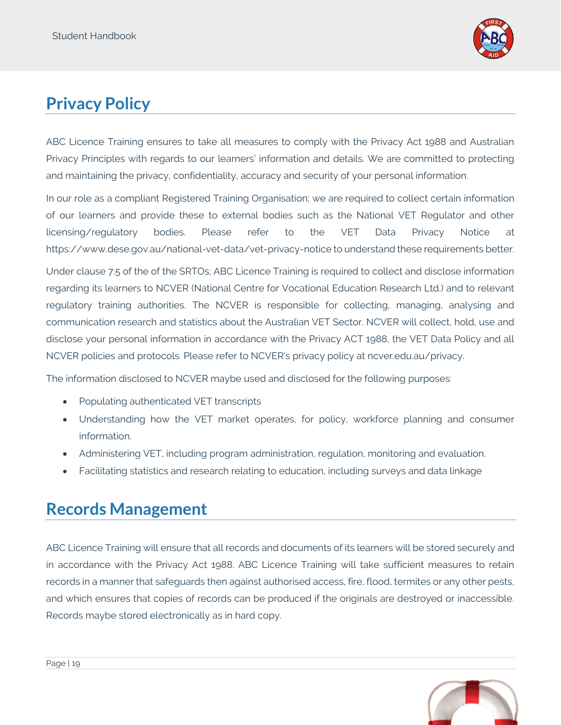

# <span id="page-18-0"></span>**Privacy Policy**

ABC Licence Training ensures to take all measures to comply with the Privacy Act 1988 and Australian Privacy Principles with regards to our learners' information and details. We are committed to protecting and maintaining the privacy, confidentiality, accuracy and security of your personal information.

In our role as a compliant Registered Training Organisation; we are required to collect certain information of our learners and provide these to external bodies such as the National VET Regulator and other licensing/regulatory bodies. Please refer to the VET Data Privacy Notice at <https://www.dese.gov.au/national-vet-data/vet-privacy-notice> to understand these requirements better.

Under clause 7.5 of the of the SRTOs; ABC Licence Training is required to collect and disclose information regarding its learners to NCVER (National Centre for Vocational Education Research Ltd.) and to relevant regulatory training authorities. The NCVER is responsible for collecting, managing, analysing and communication research and statistics about the Australian VET Sector. NCVER will collect, hold, use and disclose your personal information in accordance with the Privacy ACT 1988, the VET Data Policy and all NCVER policies and protocols. Please refer to NCVER's privacy policy at [ncver.edu.au/privacy.](http://www.ncver.edu.au/privacy)

The information disclosed to NCVER maybe used and disclosed for the following purposes:

- Populating authenticated VET transcripts
- Understanding how the VET market operates, for policy, workforce planning and consumer information.
- Administering VET, including program administration, regulation, monitoring and evaluation.
- Facilitating statistics and research relating to education, including surveys and data linkage

## <span id="page-18-1"></span>**Records Management**

ABC Licence Training will ensure that all records and documents of its learners will be stored securely and in accordance with the Privacy Act 1988. ABC Licence Training will take sufficient measures to retain records in a manner that safeguards then against authorised access, fire, flood, termites or any other pests, and which ensures that copies of records can be produced if the originals are destroyed or inaccessible. Records maybe stored electronically as in hard copy.

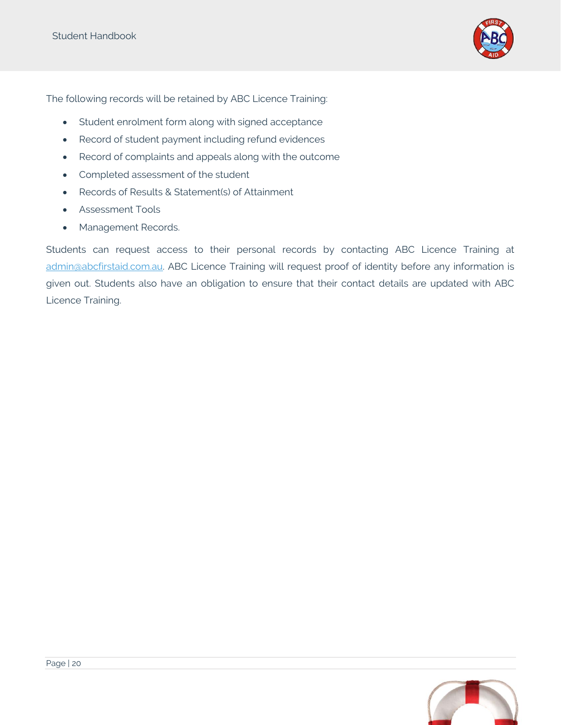

The following records will be retained by ABC Licence Training:

- Student enrolment form along with signed acceptance
- Record of student payment including refund evidences
- Record of complaints and appeals along with the outcome
- Completed assessment of the student
- Records of Results & Statement(s) of Attainment
- Assessment Tools
- Management Records.

Students can request access to their personal records by contacting ABC Licence Training at [admin@abcfirstaid.com.au.](mailto:admin@abcfirstaid.com.au) ABC Licence Training will request proof of identity before any information is given out. Students also have an obligation to ensure that their contact details are updated with ABC Licence Training.